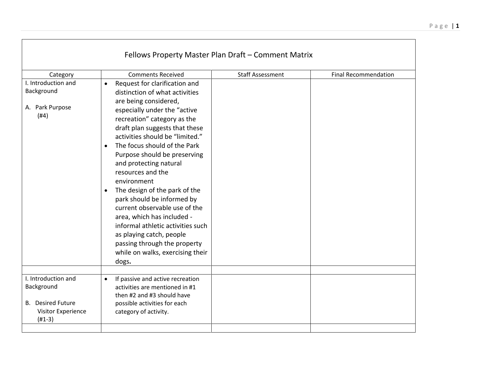| <b>Comments Received</b>                                                                                                                                                                                                                                                                                                                                                                                                                                                                                                                                                                                                                                         | <b>Staff Assessment</b> | <b>Final Recommendation</b>                         |
|------------------------------------------------------------------------------------------------------------------------------------------------------------------------------------------------------------------------------------------------------------------------------------------------------------------------------------------------------------------------------------------------------------------------------------------------------------------------------------------------------------------------------------------------------------------------------------------------------------------------------------------------------------------|-------------------------|-----------------------------------------------------|
| Request for clarification and<br>$\bullet$<br>distinction of what activities<br>are being considered,<br>especially under the "active<br>recreation" category as the<br>draft plan suggests that these<br>activities should be "limited."<br>The focus should of the Park<br>Purpose should be preserving<br>and protecting natural<br>resources and the<br>environment<br>The design of the park of the<br>$\bullet$<br>park should be informed by<br>current observable use of the<br>area, which has included -<br>informal athletic activities such<br>as playing catch, people<br>passing through the property<br>while on walks, exercising their<br>dogs. |                         |                                                     |
| If passive and active recreation<br>$\bullet$<br>activities are mentioned in #1<br>then #2 and #3 should have<br>possible activities for each<br>category of activity.                                                                                                                                                                                                                                                                                                                                                                                                                                                                                           |                         |                                                     |
|                                                                                                                                                                                                                                                                                                                                                                                                                                                                                                                                                                                                                                                                  |                         | Fellows Property Master Plan Draft - Comment Matrix |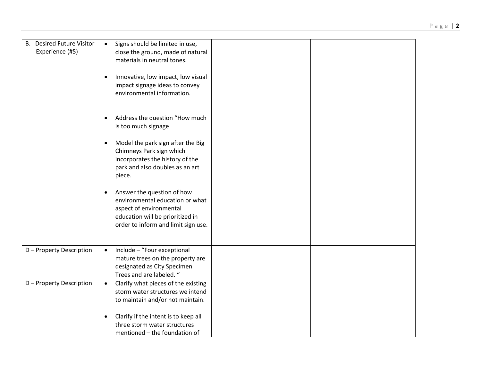| <b>Desired Future Visitor</b><br><b>B.</b><br>Experience (#5) | Signs should be limited in use,<br>$\bullet$<br>close the ground, made of natural<br>materials in neutral tones.<br>Innovative, low impact, low visual<br>$\bullet$<br>impact signage ideas to convey<br>environmental information. |
|---------------------------------------------------------------|-------------------------------------------------------------------------------------------------------------------------------------------------------------------------------------------------------------------------------------|
|                                                               | Address the question "How much<br>is too much signage                                                                                                                                                                               |
|                                                               | Model the park sign after the Big<br>$\bullet$<br>Chimneys Park sign which<br>incorporates the history of the<br>park and also doubles as an art<br>piece.                                                                          |
|                                                               | Answer the question of how<br>$\bullet$<br>environmental education or what<br>aspect of environmental<br>education will be prioritized in<br>order to inform and limit sign use.                                                    |
|                                                               |                                                                                                                                                                                                                                     |
| D - Property Description                                      | Include - "Four exceptional<br>$\bullet$<br>mature trees on the property are<br>designated as City Specimen<br>Trees and are labeled. "                                                                                             |
| D - Property Description                                      | Clarify what pieces of the existing<br>$\bullet$<br>storm water structures we intend<br>to maintain and/or not maintain.                                                                                                            |
|                                                               | Clarify if the intent is to keep all<br>$\bullet$<br>three storm water structures<br>mentioned - the foundation of                                                                                                                  |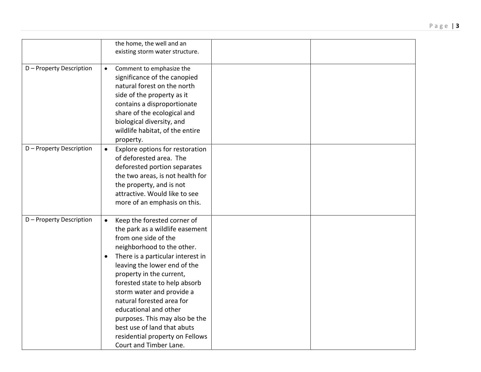|                          | the home, the well and an<br>existing storm water structure.                                                                                                                                                                                                                                                                                                                                                                                                                                      |
|--------------------------|---------------------------------------------------------------------------------------------------------------------------------------------------------------------------------------------------------------------------------------------------------------------------------------------------------------------------------------------------------------------------------------------------------------------------------------------------------------------------------------------------|
| D - Property Description | Comment to emphasize the<br>$\bullet$<br>significance of the canopied<br>natural forest on the north<br>side of the property as it<br>contains a disproportionate<br>share of the ecological and<br>biological diversity, and<br>wildlife habitat, of the entire<br>property.                                                                                                                                                                                                                     |
| D - Property Description | Explore options for restoration<br>$\bullet$<br>of deforested area. The<br>deforested portion separates<br>the two areas, is not health for<br>the property, and is not<br>attractive. Would like to see<br>more of an emphasis on this.                                                                                                                                                                                                                                                          |
| D - Property Description | Keep the forested corner of<br>$\bullet$<br>the park as a wildlife easement<br>from one side of the<br>neighborhood to the other.<br>There is a particular interest in<br>$\bullet$<br>leaving the lower end of the<br>property in the current,<br>forested state to help absorb<br>storm water and provide a<br>natural forested area for<br>educational and other<br>purposes. This may also be the<br>best use of land that abuts<br>residential property on Fellows<br>Court and Timber Lane. |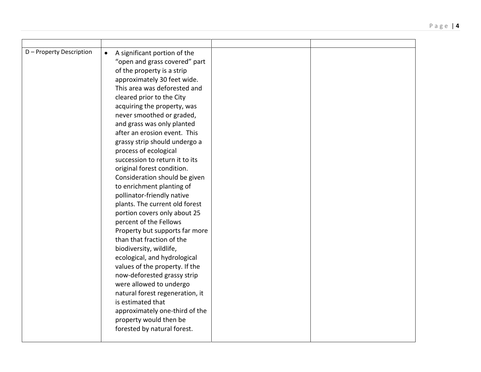| D - Property Description | A significant portion of the<br>$\bullet$ |  |
|--------------------------|-------------------------------------------|--|
|                          | "open and grass covered" part             |  |
|                          | of the property is a strip                |  |
|                          | approximately 30 feet wide.               |  |
|                          | This area was deforested and              |  |
|                          | cleared prior to the City                 |  |
|                          | acquiring the property, was               |  |
|                          | never smoothed or graded,                 |  |
|                          | and grass was only planted                |  |
|                          | after an erosion event. This              |  |
|                          | grassy strip should undergo a             |  |
|                          | process of ecological                     |  |
|                          | succession to return it to its            |  |
|                          | original forest condition.                |  |
|                          | Consideration should be given             |  |
|                          | to enrichment planting of                 |  |
|                          | pollinator-friendly native                |  |
|                          | plants. The current old forest            |  |
|                          | portion covers only about 25              |  |
|                          | percent of the Fellows                    |  |
|                          | Property but supports far more            |  |
|                          | than that fraction of the                 |  |
|                          | biodiversity, wildlife,                   |  |
|                          | ecological, and hydrological              |  |
|                          | values of the property. If the            |  |
|                          | now-deforested grassy strip               |  |
|                          | were allowed to undergo                   |  |
|                          | natural forest regeneration, it           |  |
|                          | is estimated that                         |  |
|                          | approximately one-third of the            |  |
|                          | property would then be                    |  |
|                          | forested by natural forest.               |  |
|                          |                                           |  |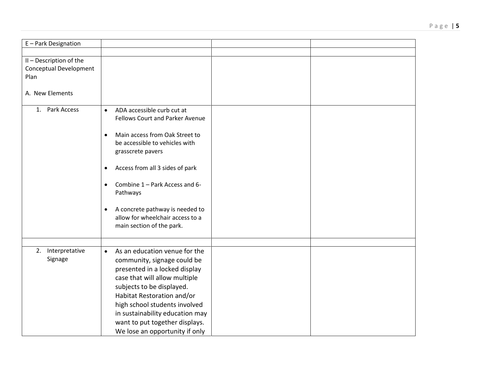| E-Park Designation                                                                  |                                                                                                                                                                                                                                                                                                                                                                                                                     |  |
|-------------------------------------------------------------------------------------|---------------------------------------------------------------------------------------------------------------------------------------------------------------------------------------------------------------------------------------------------------------------------------------------------------------------------------------------------------------------------------------------------------------------|--|
|                                                                                     |                                                                                                                                                                                                                                                                                                                                                                                                                     |  |
| II - Description of the<br><b>Conceptual Development</b><br>Plan<br>A. New Elements |                                                                                                                                                                                                                                                                                                                                                                                                                     |  |
| Park Access<br>1.                                                                   | ADA accessible curb cut at<br>$\bullet$<br><b>Fellows Court and Parker Avenue</b><br>Main access from Oak Street to<br>$\bullet$<br>be accessible to vehicles with<br>grasscrete pavers<br>Access from all 3 sides of park<br>$\bullet$<br>Combine 1 - Park Access and 6-<br>$\bullet$<br>Pathways<br>A concrete pathway is needed to<br>$\bullet$<br>allow for wheelchair access to a<br>main section of the park. |  |
| 2. Interpretative<br>Signage                                                        | As an education venue for the<br>$\bullet$<br>community, signage could be<br>presented in a locked display<br>case that will allow multiple<br>subjects to be displayed.<br>Habitat Restoration and/or<br>high school students involved<br>in sustainability education may<br>want to put together displays.<br>We lose an opportunity if only                                                                      |  |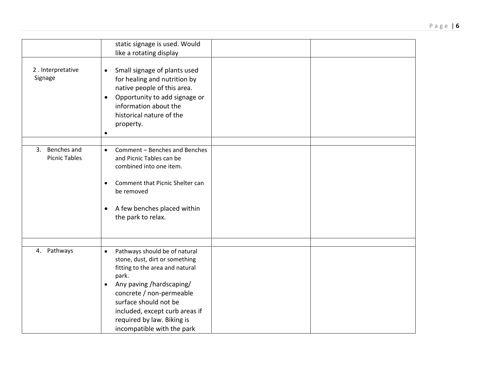|                                        | static signage is used. Would<br>like a rotating display                                                                                                                                                                                                                                                             |
|----------------------------------------|----------------------------------------------------------------------------------------------------------------------------------------------------------------------------------------------------------------------------------------------------------------------------------------------------------------------|
| 2. Interpretative<br>Signage           | Small signage of plants used<br>$\bullet$<br>for healing and nutrition by<br>native people of this area.<br>Opportunity to add signage or<br>$\bullet$<br>information about the<br>historical nature of the<br>property.<br>$\bullet$                                                                                |
| 3. Benches and<br><b>Picnic Tables</b> | Comment - Benches and Benches<br>$\bullet$<br>and Picnic Tables can be<br>combined into one item.<br>Comment that Picnic Shelter can<br>be removed<br>A few benches placed within<br>$\bullet$<br>the park to relax.                                                                                                 |
| 4. Pathways                            | Pathways should be of natural<br>$\bullet$<br>stone, dust, dirt or something<br>fitting to the area and natural<br>park.<br>Any paving /hardscaping/<br>$\bullet$<br>concrete / non-permeable<br>surface should not be<br>included, except curb areas if<br>required by law. Biking is<br>incompatible with the park |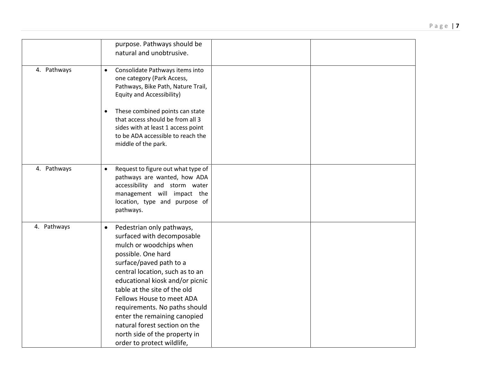|             | purpose. Pathways should be<br>natural and unobtrusive.                                                                                                                                                                                                                                                                                                                                                                                              |
|-------------|------------------------------------------------------------------------------------------------------------------------------------------------------------------------------------------------------------------------------------------------------------------------------------------------------------------------------------------------------------------------------------------------------------------------------------------------------|
| 4. Pathways | Consolidate Pathways items into<br>$\bullet$<br>one category (Park Access,<br>Pathways, Bike Path, Nature Trail,<br>Equity and Accessibility)                                                                                                                                                                                                                                                                                                        |
|             | These combined points can state<br>$\bullet$<br>that access should be from all 3<br>sides with at least 1 access point<br>to be ADA accessible to reach the<br>middle of the park.                                                                                                                                                                                                                                                                   |
| 4. Pathways | Request to figure out what type of<br>$\bullet$<br>pathways are wanted, how ADA<br>accessibility and storm water<br>management will impact the<br>location, type and purpose of<br>pathways.                                                                                                                                                                                                                                                         |
| 4. Pathways | Pedestrian only pathways,<br>$\bullet$<br>surfaced with decomposable<br>mulch or woodchips when<br>possible. One hard<br>surface/paved path to a<br>central location, such as to an<br>educational kiosk and/or picnic<br>table at the site of the old<br>Fellows House to meet ADA<br>requirements. No paths should<br>enter the remaining canopied<br>natural forest section on the<br>north side of the property in<br>order to protect wildlife, |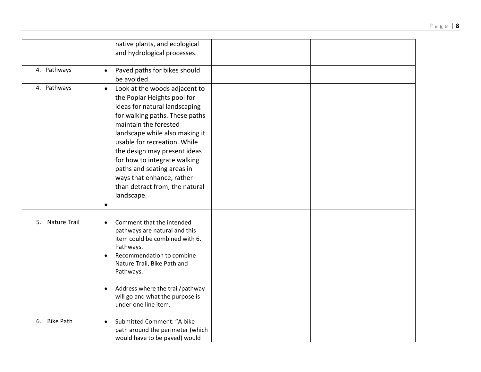|                        | native plants, and ecological<br>and hydrological processes.                                                                                                                                                                                                                                                                                                                                                       |
|------------------------|--------------------------------------------------------------------------------------------------------------------------------------------------------------------------------------------------------------------------------------------------------------------------------------------------------------------------------------------------------------------------------------------------------------------|
| 4. Pathways            | Paved paths for bikes should<br>$\bullet$<br>be avoided.                                                                                                                                                                                                                                                                                                                                                           |
| 4. Pathways            | Look at the woods adjacent to<br>$\bullet$<br>the Poplar Heights pool for<br>ideas for natural landscaping<br>for walking paths. These paths<br>maintain the forested<br>landscape while also making it<br>usable for recreation. While<br>the design may present ideas<br>for how to integrate walking<br>paths and seating areas in<br>ways that enhance, rather<br>than detract from, the natural<br>landscape. |
| 5. Nature Trail        | Comment that the intended<br>$\bullet$<br>pathways are natural and this<br>item could be combined with 6.<br>Pathways.<br>Recommendation to combine<br>$\bullet$<br>Nature Trail, Bike Path and<br>Pathways.<br>Address where the trail/pathway<br>$\bullet$<br>will go and what the purpose is<br>under one line item.                                                                                            |
| <b>Bike Path</b><br>6. | Submitted Comment: "A bike<br>$\bullet$<br>path around the perimeter (which<br>would have to be paved) would                                                                                                                                                                                                                                                                                                       |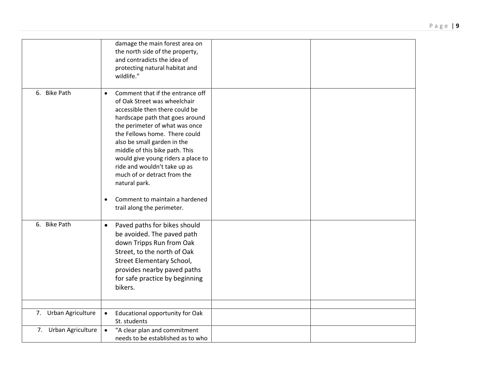|                      | damage the main forest area on<br>the north side of the property,<br>and contradicts the idea of<br>protecting natural habitat and<br>wildlife."                                                                                                                                                                                                                                                                                               |
|----------------------|------------------------------------------------------------------------------------------------------------------------------------------------------------------------------------------------------------------------------------------------------------------------------------------------------------------------------------------------------------------------------------------------------------------------------------------------|
| 6. Bike Path         | Comment that if the entrance off<br>$\bullet$<br>of Oak Street was wheelchair<br>accessible then there could be<br>hardscape path that goes around<br>the perimeter of what was once<br>the Fellows home. There could<br>also be small garden in the<br>middle of this bike path. This<br>would give young riders a place to<br>ride and wouldn't take up as<br>much of or detract from the<br>natural park.<br>Comment to maintain a hardened |
| 6. Bike Path         | trail along the perimeter.<br>Paved paths for bikes should<br>$\bullet$<br>be avoided. The paved path<br>down Tripps Run from Oak<br>Street, to the north of Oak<br>Street Elementary School,<br>provides nearby paved paths<br>for safe practice by beginning<br>bikers.                                                                                                                                                                      |
| 7. Urban Agriculture | Educational opportunity for Oak<br>$\bullet$<br>St. students                                                                                                                                                                                                                                                                                                                                                                                   |
| 7. Urban Agriculture | "A clear plan and commitment<br>$\bullet$<br>needs to be established as to who                                                                                                                                                                                                                                                                                                                                                                 |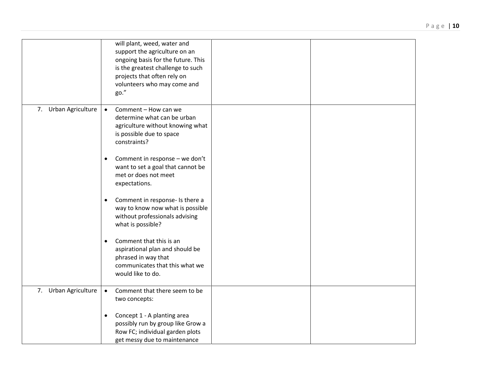|                      | will plant, weed, water and<br>support the agriculture on an<br>ongoing basis for the future. This<br>is the greatest challenge to such<br>projects that often rely on<br>volunteers who may come and<br>go." |
|----------------------|---------------------------------------------------------------------------------------------------------------------------------------------------------------------------------------------------------------|
| 7. Urban Agriculture | Comment - How can we<br>$\bullet$<br>determine what can be urban<br>agriculture without knowing what<br>is possible due to space<br>constraints?                                                              |
|                      | Comment in response - we don't<br>$\bullet$<br>want to set a goal that cannot be<br>met or does not meet<br>expectations.                                                                                     |
|                      | Comment in response- Is there a<br>$\bullet$<br>way to know now what is possible<br>without professionals advising<br>what is possible?                                                                       |
|                      | Comment that this is an<br>$\bullet$<br>aspirational plan and should be<br>phrased in way that<br>communicates that this what we<br>would like to do.                                                         |
| 7. Urban Agriculture | Comment that there seem to be<br>$\bullet$<br>two concepts:                                                                                                                                                   |
|                      | Concept 1 - A planting area<br>$\bullet$<br>possibly run by group like Grow a<br>Row FC; individual garden plots<br>get messy due to maintenance                                                              |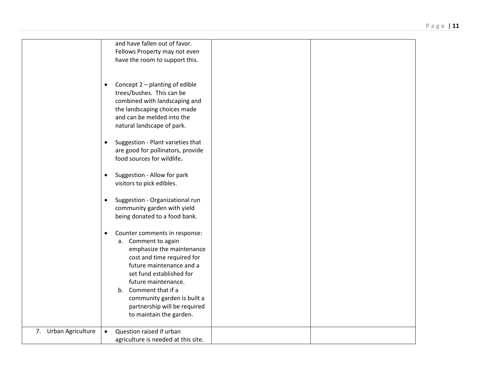|                      | and have fallen out of favor.                |  |
|----------------------|----------------------------------------------|--|
|                      | Fellows Property may not even                |  |
|                      | have the room to support this.               |  |
|                      |                                              |  |
|                      |                                              |  |
|                      |                                              |  |
|                      | Concept 2 - planting of edible<br>$\bullet$  |  |
|                      | trees/bushes. This can be                    |  |
|                      | combined with landscaping and                |  |
|                      |                                              |  |
|                      | the landscaping choices made                 |  |
|                      | and can be melded into the                   |  |
|                      | natural landscape of park.                   |  |
|                      |                                              |  |
|                      | Suggestion - Plant varieties that            |  |
|                      | $\bullet$                                    |  |
|                      | are good for pollinators, provide            |  |
|                      | food sources for wildlife.                   |  |
|                      |                                              |  |
|                      | Suggestion - Allow for park<br>$\bullet$     |  |
|                      | visitors to pick edibles.                    |  |
|                      |                                              |  |
|                      |                                              |  |
|                      | Suggestion - Organizational run<br>$\bullet$ |  |
|                      | community garden with yield                  |  |
|                      | being donated to a food bank.                |  |
|                      |                                              |  |
|                      | Counter comments in response:<br>٠           |  |
|                      |                                              |  |
|                      | a. Comment to again                          |  |
|                      | emphasize the maintenance                    |  |
|                      | cost and time required for                   |  |
|                      | future maintenance and a                     |  |
|                      | set fund established for                     |  |
|                      | future maintenance.                          |  |
|                      |                                              |  |
|                      | b. Comment that if a                         |  |
|                      | community garden is built a                  |  |
|                      | partnership will be required                 |  |
|                      | to maintain the garden.                      |  |
|                      |                                              |  |
| 7. Urban Agriculture | Question raised if urban<br>$\bullet$        |  |
|                      |                                              |  |
|                      | agriculture is needed at this site.          |  |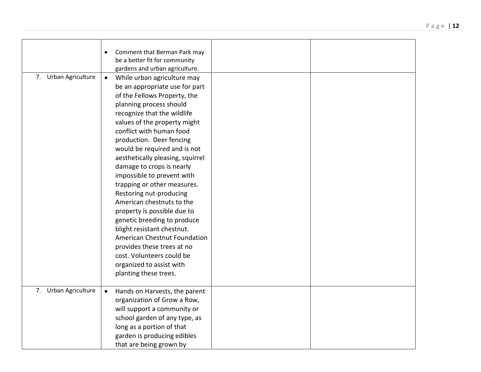|                      | Comment that Berman Park may<br>be a better fit for community |  |
|----------------------|---------------------------------------------------------------|--|
|                      | gardens and urban agriculture.                                |  |
| 7. Urban Agriculture | $\bullet$<br>While urban agriculture may                      |  |
|                      | be an appropriate use for part                                |  |
|                      | of the Fellows Property, the                                  |  |
|                      | planning process should                                       |  |
|                      | recognize that the wildlife                                   |  |
|                      | values of the property might                                  |  |
|                      | conflict with human food                                      |  |
|                      | production. Deer fencing                                      |  |
|                      | would be required and is not                                  |  |
|                      | aesthetically pleasing, squirrel                              |  |
|                      | damage to crops is nearly                                     |  |
|                      | impossible to prevent with                                    |  |
|                      | trapping or other measures.                                   |  |
|                      | Restoring nut-producing                                       |  |
|                      | American chestnuts to the                                     |  |
|                      | property is possible due to                                   |  |
|                      | genetic breeding to produce                                   |  |
|                      | blight resistant chestnut.                                    |  |
|                      | American Chestnut Foundation                                  |  |
|                      | provides these trees at no                                    |  |
|                      | cost. Volunteers could be                                     |  |
|                      | organized to assist with                                      |  |
|                      | planting these trees.                                         |  |
|                      |                                                               |  |
| 7. Urban Agriculture | $\bullet$<br>Hands on Harvests, the parent                    |  |
|                      | organization of Grow a Row,                                   |  |
|                      | will support a community or                                   |  |
|                      | school garden of any type, as                                 |  |
|                      | long as a portion of that                                     |  |
|                      | garden is producing edibles                                   |  |
|                      | that are being grown by                                       |  |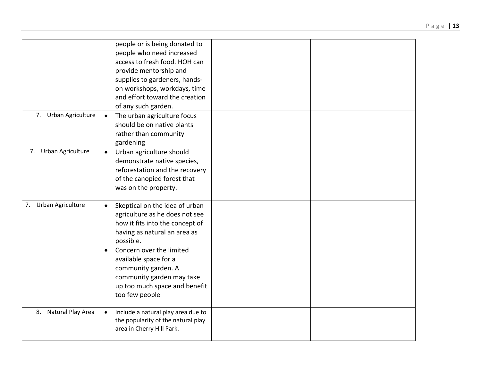| 7. Urban Agriculture | people or is being donated to<br>people who need increased<br>access to fresh food. HOH can<br>provide mentorship and<br>supplies to gardeners, hands-<br>on workshops, workdays, time<br>and effort toward the creation<br>of any such garden.<br>The urban agriculture focus<br>$\bullet$<br>should be on native plants |
|----------------------|---------------------------------------------------------------------------------------------------------------------------------------------------------------------------------------------------------------------------------------------------------------------------------------------------------------------------|
|                      | rather than community<br>gardening                                                                                                                                                                                                                                                                                        |
| 7. Urban Agriculture | Urban agriculture should<br>$\bullet$<br>demonstrate native species,<br>reforestation and the recovery<br>of the canopied forest that<br>was on the property.                                                                                                                                                             |
| 7. Urban Agriculture | Skeptical on the idea of urban<br>$\bullet$<br>agriculture as he does not see<br>how it fits into the concept of<br>having as natural an area as<br>possible.<br>Concern over the limited<br>available space for a<br>community garden. A<br>community garden may take<br>up too much space and benefit<br>too few people |
| 8. Natural Play Area | Include a natural play area due to<br>$\bullet$<br>the popularity of the natural play<br>area in Cherry Hill Park.                                                                                                                                                                                                        |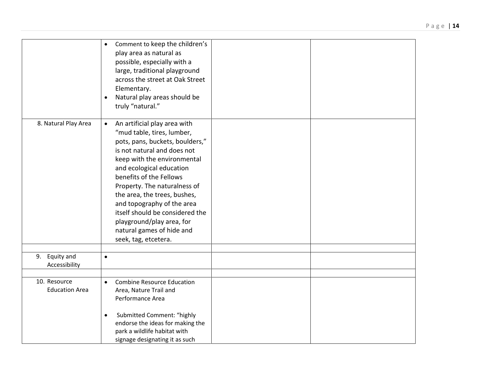|                                       | Comment to keep the children's<br>$\bullet$<br>play area as natural as<br>possible, especially with a<br>large, traditional playground<br>across the street at Oak Street<br>Elementary.<br>Natural play areas should be<br>truly "natural."                                                                                                                                                                                                       |
|---------------------------------------|----------------------------------------------------------------------------------------------------------------------------------------------------------------------------------------------------------------------------------------------------------------------------------------------------------------------------------------------------------------------------------------------------------------------------------------------------|
| 8. Natural Play Area                  | An artificial play area with<br>$\bullet$<br>"mud table, tires, lumber,<br>pots, pans, buckets, boulders,"<br>is not natural and does not<br>keep with the environmental<br>and ecological education<br>benefits of the Fellows<br>Property. The naturalness of<br>the area, the trees, bushes,<br>and topography of the area<br>itself should be considered the<br>playground/play area, for<br>natural games of hide and<br>seek, tag, etcetera. |
| 9. Equity and<br>Accessibility        | $\bullet$                                                                                                                                                                                                                                                                                                                                                                                                                                          |
| 10. Resource<br><b>Education Area</b> | <b>Combine Resource Education</b><br>$\bullet$<br>Area, Nature Trail and<br>Performance Area<br>Submitted Comment: "highly<br>endorse the ideas for making the<br>park a wildlife habitat with<br>signage designating it as such                                                                                                                                                                                                                   |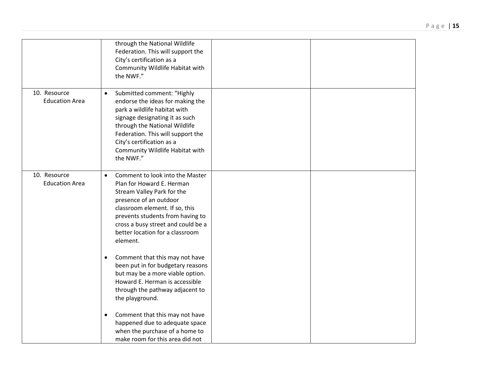|                                       | through the National Wildlife<br>Federation. This will support the<br>City's certification as a<br>Community Wildlife Habitat with<br>the NWF."                                                                                                                                                  |
|---------------------------------------|--------------------------------------------------------------------------------------------------------------------------------------------------------------------------------------------------------------------------------------------------------------------------------------------------|
| 10. Resource<br><b>Education Area</b> | Submitted comment: "Highly<br>$\bullet$<br>endorse the ideas for making the<br>park a wildlife habitat with<br>signage designating it as such<br>through the National Wildlife<br>Federation. This will support the<br>City's certification as a<br>Community Wildlife Habitat with<br>the NWF." |
| 10. Resource<br><b>Education Area</b> | Comment to look into the Master<br>$\bullet$<br>Plan for Howard E. Herman<br>Stream Valley Park for the<br>presence of an outdoor<br>classroom element. If so, this<br>prevents students from having to<br>cross a busy street and could be a<br>better location for a classroom<br>element.     |
|                                       | Comment that this may not have<br>$\bullet$<br>been put in for budgetary reasons<br>but may be a more viable option.<br>Howard E. Herman is accessible<br>through the pathway adjacent to<br>the playground.                                                                                     |
|                                       | Comment that this may not have<br>٠<br>happened due to adequate space<br>when the purchase of a home to<br>make room for this area did not                                                                                                                                                       |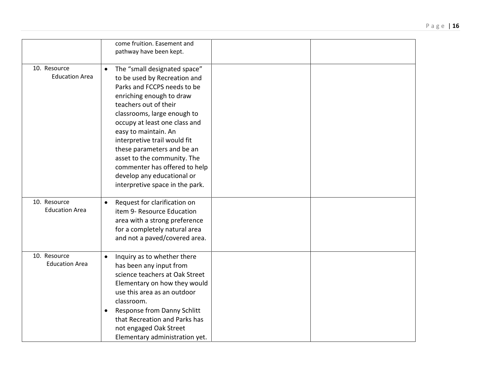|                                       | come fruition. Easement and<br>pathway have been kept.                                                                                                                                                                                                                                                                                                                                                                                               |
|---------------------------------------|------------------------------------------------------------------------------------------------------------------------------------------------------------------------------------------------------------------------------------------------------------------------------------------------------------------------------------------------------------------------------------------------------------------------------------------------------|
| 10. Resource<br><b>Education Area</b> | The "small designated space"<br>$\bullet$<br>to be used by Recreation and<br>Parks and FCCPS needs to be<br>enriching enough to draw<br>teachers out of their<br>classrooms, large enough to<br>occupy at least one class and<br>easy to maintain. An<br>interpretive trail would fit<br>these parameters and be an<br>asset to the community. The<br>commenter has offered to help<br>develop any educational or<br>interpretive space in the park. |
| 10. Resource<br><b>Education Area</b> | Request for clarification on<br>$\bullet$<br>item 9- Resource Education<br>area with a strong preference<br>for a completely natural area<br>and not a paved/covered area.                                                                                                                                                                                                                                                                           |
| 10. Resource<br><b>Education Area</b> | Inquiry as to whether there<br>$\bullet$<br>has been any input from<br>science teachers at Oak Street<br>Elementary on how they would<br>use this area as an outdoor<br>classroom.<br>Response from Danny Schlitt<br>that Recreation and Parks has<br>not engaged Oak Street<br>Elementary administration yet.                                                                                                                                       |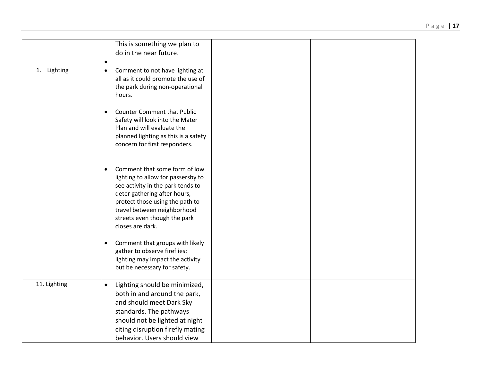|              | This is something we plan to<br>do in the near future.                                                                                                                                                                                                                      |
|--------------|-----------------------------------------------------------------------------------------------------------------------------------------------------------------------------------------------------------------------------------------------------------------------------|
| 1. Lighting  | $\bullet$<br>Comment to not have lighting at<br>$\bullet$<br>all as it could promote the use of<br>the park during non-operational<br>hours.                                                                                                                                |
|              | <b>Counter Comment that Public</b><br>$\bullet$<br>Safety will look into the Mater<br>Plan and will evaluate the<br>planned lighting as this is a safety<br>concern for first responders.                                                                                   |
|              | Comment that some form of low<br>$\bullet$<br>lighting to allow for passersby to<br>see activity in the park tends to<br>deter gathering after hours,<br>protect those using the path to<br>travel between neighborhood<br>streets even though the park<br>closes are dark. |
|              | Comment that groups with likely<br>$\bullet$<br>gather to observe fireflies;<br>lighting may impact the activity<br>but be necessary for safety.                                                                                                                            |
| 11. Lighting | Lighting should be minimized,<br>$\bullet$<br>both in and around the park,<br>and should meet Dark Sky<br>standards. The pathways<br>should not be lighted at night<br>citing disruption firefly mating<br>behavior. Users should view                                      |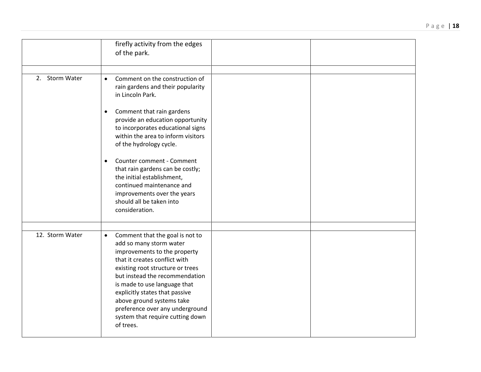|                 | firefly activity from the edges<br>of the park.                                                                                                                                                                                                                                                                                                                                                                                                                                                                |
|-----------------|----------------------------------------------------------------------------------------------------------------------------------------------------------------------------------------------------------------------------------------------------------------------------------------------------------------------------------------------------------------------------------------------------------------------------------------------------------------------------------------------------------------|
| 2. Storm Water  | Comment on the construction of<br>$\bullet$<br>rain gardens and their popularity<br>in Lincoln Park.<br>Comment that rain gardens<br>$\bullet$<br>provide an education opportunity<br>to incorporates educational signs<br>within the area to inform visitors<br>of the hydrology cycle.<br>Counter comment - Comment<br>$\bullet$<br>that rain gardens can be costly;<br>the initial establishment,<br>continued maintenance and<br>improvements over the years<br>should all be taken into<br>consideration. |
| 12. Storm Water | Comment that the goal is not to<br>$\bullet$<br>add so many storm water<br>improvements to the property<br>that it creates conflict with<br>existing root structure or trees<br>but instead the recommendation<br>is made to use language that<br>explicitly states that passive<br>above ground systems take<br>preference over any underground<br>system that require cutting down<br>of trees.                                                                                                              |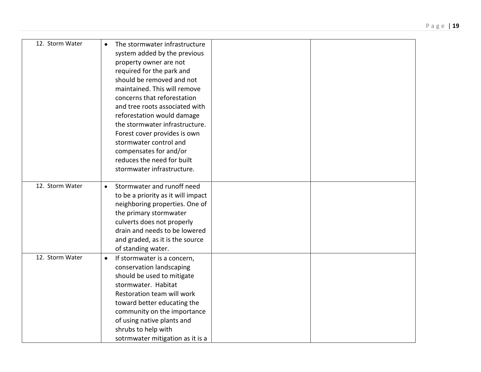|  | Page   19 |
|--|-----------|
|  |           |
|  |           |
|  |           |
|  |           |
|  |           |

| 12. Storm Water | The stormwater infrastructure<br>$\bullet$<br>system added by the previous<br>property owner are not<br>required for the park and<br>should be removed and not<br>maintained. This will remove<br>concerns that reforestation<br>and tree roots associated with<br>reforestation would damage<br>the stormwater infrastructure.<br>Forest cover provides is own<br>stormwater control and<br>compensates for and/or<br>reduces the need for built<br>stormwater infrastructure. |
|-----------------|---------------------------------------------------------------------------------------------------------------------------------------------------------------------------------------------------------------------------------------------------------------------------------------------------------------------------------------------------------------------------------------------------------------------------------------------------------------------------------|
| 12. Storm Water | Stormwater and runoff need<br>$\bullet$<br>to be a priority as it will impact<br>neighboring properties. One of<br>the primary stormwater<br>culverts does not properly<br>drain and needs to be lowered<br>and graded, as it is the source<br>of standing water.                                                                                                                                                                                                               |
| 12. Storm Water | If stormwater is a concern,<br>$\bullet$<br>conservation landscaping<br>should be used to mitigate<br>stormwater. Habitat<br>Restoration team will work<br>toward better educating the<br>community on the importance<br>of using native plants and<br>shrubs to help with<br>sotrmwater mitigation as it is a                                                                                                                                                                  |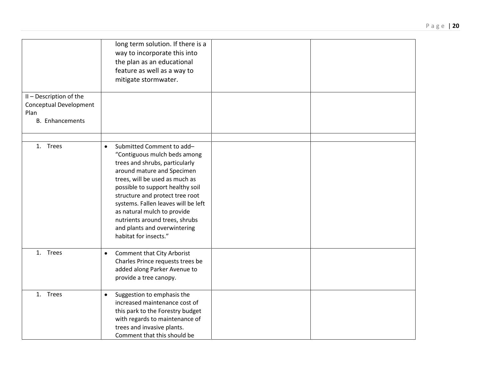|                                                                                            | long term solution. If there is a<br>way to incorporate this into<br>the plan as an educational<br>feature as well as a way to<br>mitigate stormwater.                                                                                                                                                                                                                                                           |
|--------------------------------------------------------------------------------------------|------------------------------------------------------------------------------------------------------------------------------------------------------------------------------------------------------------------------------------------------------------------------------------------------------------------------------------------------------------------------------------------------------------------|
| II - Description of the<br><b>Conceptual Development</b><br>Plan<br><b>B.</b> Enhancements |                                                                                                                                                                                                                                                                                                                                                                                                                  |
| 1. Trees                                                                                   | Submitted Comment to add-<br>$\bullet$<br>"Contiguous mulch beds among<br>trees and shrubs, particularly<br>around mature and Specimen<br>trees, will be used as much as<br>possible to support healthy soil<br>structure and protect tree root<br>systems. Fallen leaves will be left<br>as natural mulch to provide<br>nutrients around trees, shrubs<br>and plants and overwintering<br>habitat for insects." |
| 1. Trees                                                                                   | <b>Comment that City Arborist</b><br>$\bullet$<br>Charles Prince requests trees be<br>added along Parker Avenue to<br>provide a tree canopy.                                                                                                                                                                                                                                                                     |
| 1. Trees                                                                                   | Suggestion to emphasis the<br>$\bullet$<br>increased maintenance cost of<br>this park to the Forestry budget<br>with regards to maintenance of<br>trees and invasive plants.<br>Comment that this should be                                                                                                                                                                                                      |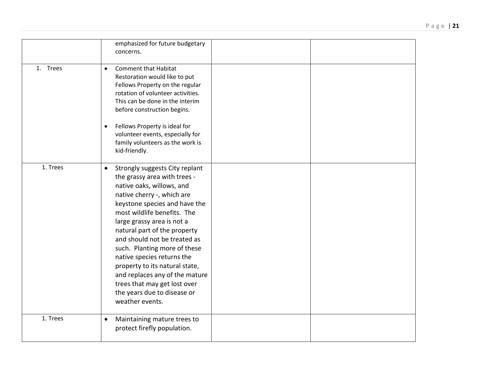|          | emphasized for future budgetary<br>concerns.                                                                                                                                                                                                                                                                                                                                                                                                                                                                             |
|----------|--------------------------------------------------------------------------------------------------------------------------------------------------------------------------------------------------------------------------------------------------------------------------------------------------------------------------------------------------------------------------------------------------------------------------------------------------------------------------------------------------------------------------|
| 1. Trees | <b>Comment that Habitat</b><br>$\bullet$<br>Restoration would like to put<br>Fellows Property on the regular<br>rotation of volunteer activities.<br>This can be done in the interim<br>before construction begins.<br>Fellows Property is ideal for<br>volunteer events, especially for<br>family volunteers as the work is<br>kid-friendly.                                                                                                                                                                            |
| 1. Trees | Strongly suggests City replant<br>$\bullet$<br>the grassy area with trees -<br>native oaks, willows, and<br>native cherry -, which are<br>keystone species and have the<br>most wildlife benefits. The<br>large grassy area is not a<br>natural part of the property<br>and should not be treated as<br>such. Planting more of these<br>native species returns the<br>property to its natural state,<br>and replaces any of the mature<br>trees that may get lost over<br>the years due to disease or<br>weather events. |
| 1. Trees | Maintaining mature trees to<br>$\bullet$<br>protect firefly population.                                                                                                                                                                                                                                                                                                                                                                                                                                                  |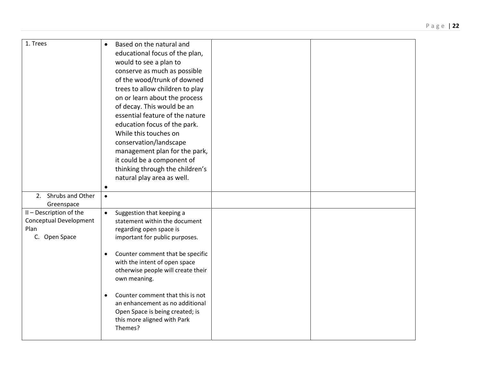| 1. Trees                                                                          | Based on the natural and<br>$\bullet$<br>educational focus of the plan,<br>would to see a plan to<br>conserve as much as possible<br>of the wood/trunk of downed<br>trees to allow children to play<br>on or learn about the process<br>of decay. This would be an<br>essential feature of the nature<br>education focus of the park.<br>While this touches on<br>conservation/landscape<br>management plan for the park,<br>it could be a component of<br>thinking through the children's<br>natural play area as well. |
|-----------------------------------------------------------------------------------|--------------------------------------------------------------------------------------------------------------------------------------------------------------------------------------------------------------------------------------------------------------------------------------------------------------------------------------------------------------------------------------------------------------------------------------------------------------------------------------------------------------------------|
| 2. Shrubs and Other<br>Greenspace                                                 | $\bullet$                                                                                                                                                                                                                                                                                                                                                                                                                                                                                                                |
| II - Description of the<br><b>Conceptual Development</b><br>Plan<br>C. Open Space | Suggestion that keeping a<br>$\bullet$<br>statement within the document<br>regarding open space is<br>important for public purposes.<br>Counter comment that be specific<br>$\bullet$<br>with the intent of open space<br>otherwise people will create their<br>own meaning.<br>Counter comment that this is not<br>an enhancement as no additional<br>Open Space is being created; is<br>this more aligned with Park<br>Themes?                                                                                         |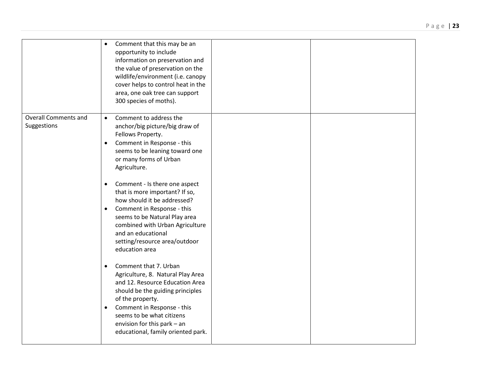|                                            | Comment that this may be an<br>$\bullet$<br>opportunity to include<br>information on preservation and<br>the value of preservation on the<br>wildlife/environment (i.e. canopy<br>cover helps to control heat in the<br>area, one oak tree can support<br>300 species of moths).                    |  |
|--------------------------------------------|-----------------------------------------------------------------------------------------------------------------------------------------------------------------------------------------------------------------------------------------------------------------------------------------------------|--|
| <b>Overall Comments and</b><br>Suggestions | Comment to address the<br>$\bullet$<br>anchor/big picture/big draw of<br>Fellows Property.<br>Comment in Response - this<br>$\bullet$<br>seems to be leaning toward one<br>or many forms of Urban<br>Agriculture.                                                                                   |  |
|                                            | Comment - Is there one aspect<br>$\bullet$<br>that is more important? If so,<br>how should it be addressed?<br>Comment in Response - this<br>$\bullet$<br>seems to be Natural Play area<br>combined with Urban Agriculture<br>and an educational<br>setting/resource area/outdoor<br>education area |  |
|                                            | Comment that 7. Urban<br>$\bullet$<br>Agriculture, 8. Natural Play Area<br>and 12. Resource Education Area<br>should be the guiding principles<br>of the property.<br>Comment in Response - this<br>seems to be what citizens<br>envision for this park - an<br>educational, family oriented park.  |  |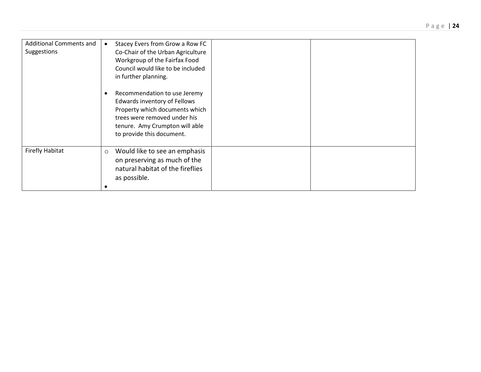| <b>Additional Comments and</b><br>Suggestions | Stacey Evers from Grow a Row FC<br>Co-Chair of the Urban Agriculture<br>Workgroup of the Fairfax Food<br>Council would like to be included<br>in further planning.                            |
|-----------------------------------------------|-----------------------------------------------------------------------------------------------------------------------------------------------------------------------------------------------|
|                                               | Recommendation to use Jeremy<br>Edwards inventory of Fellows<br>Property which documents which<br>trees were removed under his<br>tenure. Amy Crumpton will able<br>to provide this document. |
| <b>Firefly Habitat</b>                        | Would like to see an emphasis<br>$\circ$<br>on preserving as much of the<br>natural habitat of the fireflies<br>as possible.                                                                  |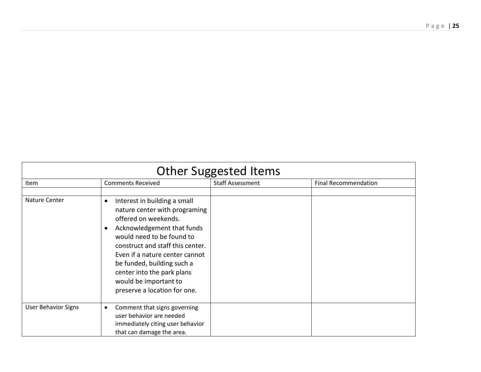| <b>Other Suggested Items</b> |                                                                                                                                                                                                                                                                                                                                                          |                         |                             |
|------------------------------|----------------------------------------------------------------------------------------------------------------------------------------------------------------------------------------------------------------------------------------------------------------------------------------------------------------------------------------------------------|-------------------------|-----------------------------|
| <b>Item</b>                  | <b>Comments Received</b>                                                                                                                                                                                                                                                                                                                                 | <b>Staff Assessment</b> | <b>Final Recommendation</b> |
| Nature Center                | Interest in building a small<br>$\bullet$<br>nature center with programing<br>offered on weekends.<br>Acknowledgement that funds<br>would need to be found to<br>construct and staff this center.<br>Even if a nature center cannot<br>be funded, building such a<br>center into the park plans<br>would be important to<br>preserve a location for one. |                         |                             |
| <b>User Behavior Signs</b>   | Comment that signs governing<br>$\bullet$<br>user behavior are needed<br>immediately citing user behavior<br>that can damage the area.                                                                                                                                                                                                                   |                         |                             |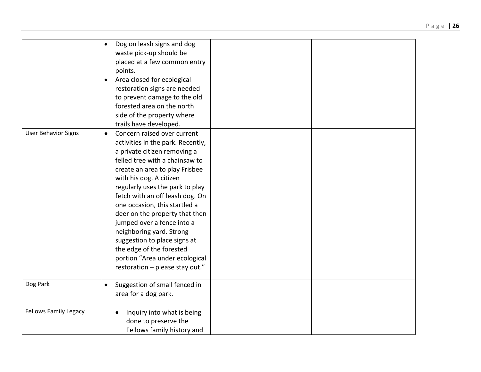|                              | Dog on leash signs and dog<br>$\bullet$<br>waste pick-up should be<br>placed at a few common entry<br>points.<br>Area closed for ecological<br>$\bullet$<br>restoration signs are needed<br>to prevent damage to the old<br>forested area on the north<br>side of the property where<br>trails have developed.                                                                                                                                                                                                                                   |  |
|------------------------------|--------------------------------------------------------------------------------------------------------------------------------------------------------------------------------------------------------------------------------------------------------------------------------------------------------------------------------------------------------------------------------------------------------------------------------------------------------------------------------------------------------------------------------------------------|--|
| <b>User Behavior Signs</b>   | Concern raised over current<br>$\bullet$<br>activities in the park. Recently,<br>a private citizen removing a<br>felled tree with a chainsaw to<br>create an area to play Frisbee<br>with his dog. A citizen<br>regularly uses the park to play<br>fetch with an off leash dog. On<br>one occasion, this startled a<br>deer on the property that then<br>jumped over a fence into a<br>neighboring yard. Strong<br>suggestion to place signs at<br>the edge of the forested<br>portion "Area under ecological<br>restoration - please stay out." |  |
| Dog Park                     | Suggestion of small fenced in<br>$\bullet$<br>area for a dog park.                                                                                                                                                                                                                                                                                                                                                                                                                                                                               |  |
| <b>Fellows Family Legacy</b> | Inquiry into what is being<br>done to preserve the<br>Fellows family history and                                                                                                                                                                                                                                                                                                                                                                                                                                                                 |  |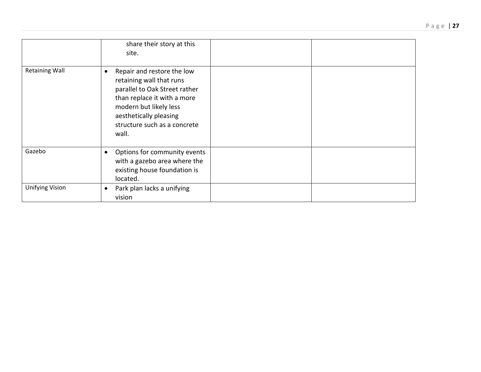|                        | share their story at this<br>site.                                                                                                                                                                                               |  |
|------------------------|----------------------------------------------------------------------------------------------------------------------------------------------------------------------------------------------------------------------------------|--|
| <b>Retaining Wall</b>  | Repair and restore the low<br>$\bullet$<br>retaining wall that runs<br>parallel to Oak Street rather<br>than replace it with a more<br>modern but likely less<br>aesthetically pleasing<br>structure such as a concrete<br>wall. |  |
| Gazebo                 | Options for community events<br>$\bullet$<br>with a gazebo area where the<br>existing house foundation is<br>located.                                                                                                            |  |
| <b>Unifying Vision</b> | Park plan lacks a unifying<br>$\bullet$<br>vision                                                                                                                                                                                |  |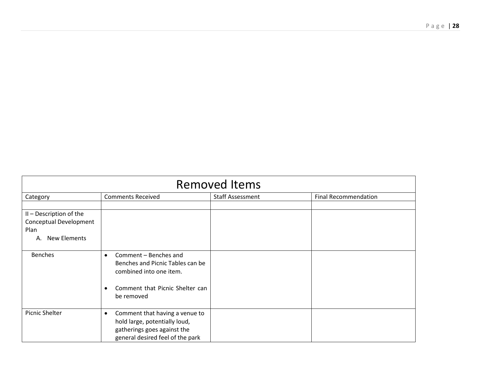| <b>Removed Items</b>    |                                                             |                         |                             |
|-------------------------|-------------------------------------------------------------|-------------------------|-----------------------------|
| Category                | <b>Comments Received</b>                                    | <b>Staff Assessment</b> | <b>Final Recommendation</b> |
|                         |                                                             |                         |                             |
| II - Description of the |                                                             |                         |                             |
| Conceptual Development  |                                                             |                         |                             |
| Plan                    |                                                             |                         |                             |
| A. New Elements         |                                                             |                         |                             |
|                         |                                                             |                         |                             |
| <b>Benches</b>          | Comment - Benches and<br>$\bullet$                          |                         |                             |
|                         | Benches and Picnic Tables can be<br>combined into one item. |                         |                             |
|                         |                                                             |                         |                             |
|                         | Comment that Picnic Shelter can<br>$\bullet$                |                         |                             |
|                         | be removed                                                  |                         |                             |
|                         |                                                             |                         |                             |
| Picnic Shelter          | Comment that having a venue to<br>$\bullet$                 |                         |                             |
|                         | hold large, potentially loud,                               |                         |                             |
|                         | gatherings goes against the                                 |                         |                             |
|                         | general desired feel of the park                            |                         |                             |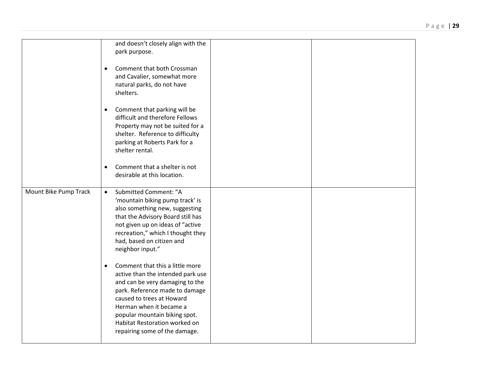|                       | and doesn't closely align with the<br>park purpose.                                                                                                                                                                                                                                                               |  |
|-----------------------|-------------------------------------------------------------------------------------------------------------------------------------------------------------------------------------------------------------------------------------------------------------------------------------------------------------------|--|
|                       | Comment that both Crossman<br>$\bullet$<br>and Cavalier, somewhat more<br>natural parks, do not have<br>shelters.                                                                                                                                                                                                 |  |
|                       | Comment that parking will be<br>$\bullet$<br>difficult and therefore Fellows<br>Property may not be suited for a<br>shelter. Reference to difficulty<br>parking at Roberts Park for a<br>shelter rental.                                                                                                          |  |
|                       | Comment that a shelter is not<br>$\bullet$<br>desirable at this location.                                                                                                                                                                                                                                         |  |
| Mount Bike Pump Track | <b>Submitted Comment: "A</b><br>$\bullet$<br>'mountain biking pump track' is<br>also something new, suggesting<br>that the Advisory Board still has<br>not given up on ideas of "active<br>recreation," which I thought they<br>had, based on citizen and<br>neighbor input."                                     |  |
|                       | Comment that this a little more<br>$\bullet$<br>active than the intended park use<br>and can be very damaging to the<br>park. Reference made to damage<br>caused to trees at Howard<br>Herman when it became a<br>popular mountain biking spot.<br>Habitat Restoration worked on<br>repairing some of the damage. |  |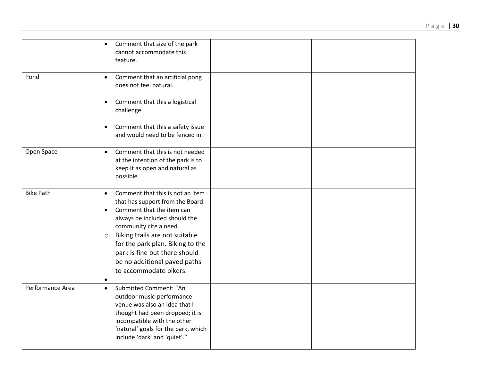|                  | Comment that size of the park<br>$\bullet$<br>cannot accommodate this<br>feature.                                                                                                                                                                                                                                                                                               |
|------------------|---------------------------------------------------------------------------------------------------------------------------------------------------------------------------------------------------------------------------------------------------------------------------------------------------------------------------------------------------------------------------------|
| Pond             | Comment that an artificial pong<br>$\bullet$<br>does not feel natural.                                                                                                                                                                                                                                                                                                          |
|                  | Comment that this a logistical<br>٠<br>challenge.                                                                                                                                                                                                                                                                                                                               |
|                  | Comment that this a safety issue<br>$\bullet$<br>and would need to be fenced in.                                                                                                                                                                                                                                                                                                |
| Open Space       | Comment that this is not needed<br>$\bullet$<br>at the intention of the park is to<br>keep it as open and natural as<br>possible.                                                                                                                                                                                                                                               |
| <b>Bike Path</b> | Comment that this is not an item<br>$\bullet$<br>that has support from the Board.<br>Comment that the item can<br>$\bullet$<br>always be included should the<br>community cite a need.<br>Biking trails are not suitable<br>$\circ$<br>for the park plan. Biking to the<br>park is fine but there should<br>be no additional paved paths<br>to accommodate bikers.<br>$\bullet$ |
| Performance Area | Submitted Comment: "An<br>$\bullet$<br>outdoor music-performance<br>venue was also an idea that I<br>thought had been dropped; it is<br>incompatible with the other<br>'natural' goals for the park, which<br>include 'dark' and 'quiet'."                                                                                                                                      |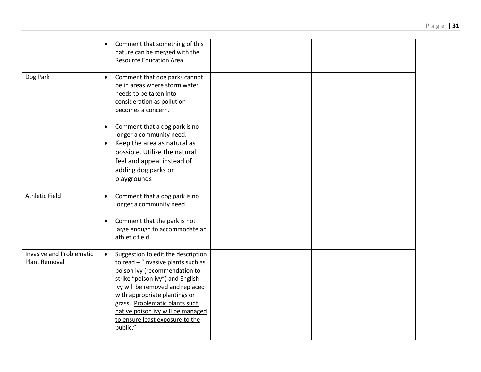|                                                  | Comment that something of this<br>$\bullet$<br>nature can be merged with the<br>Resource Education Area.                                                                                                                                                                                                                                              |  |
|--------------------------------------------------|-------------------------------------------------------------------------------------------------------------------------------------------------------------------------------------------------------------------------------------------------------------------------------------------------------------------------------------------------------|--|
| Dog Park                                         | Comment that dog parks cannot<br>$\bullet$<br>be in areas where storm water<br>needs to be taken into<br>consideration as pollution<br>becomes a concern.                                                                                                                                                                                             |  |
|                                                  | Comment that a dog park is no<br>$\bullet$<br>longer a community need.<br>Keep the area as natural as<br>$\bullet$<br>possible. Utilize the natural<br>feel and appeal instead of<br>adding dog parks or<br>playgrounds                                                                                                                               |  |
| <b>Athletic Field</b>                            | Comment that a dog park is no<br>$\bullet$<br>longer a community need.<br>Comment that the park is not<br>$\bullet$<br>large enough to accommodate an<br>athletic field.                                                                                                                                                                              |  |
| Invasive and Problematic<br><b>Plant Removal</b> | Suggestion to edit the description<br>$\bullet$<br>to read - "Invasive plants such as<br>poison ivy (recommendation to<br>strike "poison ivy") and English<br>ivy will be removed and replaced<br>with appropriate plantings or<br>grass. Problematic plants such<br>native poison ivy will be managed<br>to ensure least exposure to the<br>public." |  |